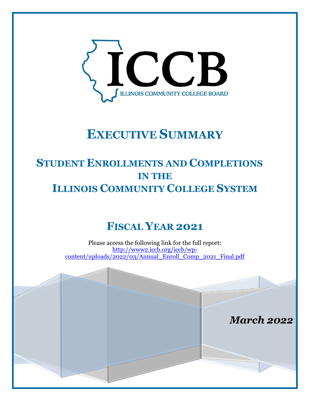

# **EXECUTIVE SUMMARY**

## **STUDENT ENROLLMENTS AND COMPLETIONS IN THE ILLINOIS COMMUNITY COLLEGE SYSTEM**

## **FISCAL YEAR 2021**

Please access the following link for the full report: [http://www2.iccb.org/iccb/wp](http://www2.iccb.org/iccb/wp-content/uploads/2022/03/Annual_Enroll_Comp_2021_Final.pdf)[content/uploads/2022/03/Annual\\_Enroll\\_Comp\\_2021\\_Final.pdf](http://www2.iccb.org/iccb/wp-content/uploads/2022/03/Annual_Enroll_Comp_2021_Final.pdf)

*March 2022*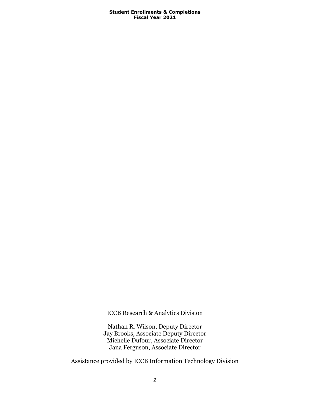ICCB Research & Analytics Division

Nathan R. Wilson, Deputy Director Jay Brooks, Associate Deputy Director Michelle Dufour, Associate Director Jana Ferguson, Associate Director

Assistance provided by ICCB Information Technology Division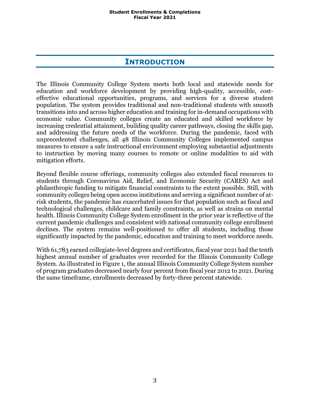### **INTRODUCTION**

The Illinois Community College System meets both local and statewide needs for education and workforce development by providing high-quality, accessible, costeffective educational opportunities, programs, and services for a diverse student population. The system provides traditional and non-traditional students with smooth transitions into and across higher education and training for in-demand occupations with economic value. Community colleges create an educated and skilled workforce by increasing credential attainment, building quality career pathways, closing the skills gap, and addressing the future needs of the workforce. During the pandemic, faced with unprecedented challenges, all 48 Illinois Community Colleges implemented campus measures to ensure a safe instructional environment employing substantial adjustments to instruction by moving many courses to remote or online modalities to aid with mitigation efforts.

Beyond flexible course offerings, community colleges also extended fiscal resources to students through Coronavirus Aid, Relief, and Economic Security (CARES) Act and philanthropic funding to mitigate financial constraints to the extent possible. Still, with community colleges being open access institutions and serving a significant number of atrisk students, the pandemic has exacerbated issues for that population such as fiscal and technological challenges, childcare and family constraints, as well as strains on mental health. Illinois Community College System enrollment in the prior year is reflective of the current pandemic challenges and consistent with national community college enrollment declines. The system remains well-positioned to offer all students, including those significantly impacted by the pandemic, education and training to meet workforce needs.

With 61,783 earned collegiate-level degrees and certificates, fiscal year 2021 had the tenth highest annual number of graduates ever recorded for the Illinois Community College System. As illustrated in [Figure 1,](#page-3-0) the annual Illinois Community College System number of program graduates decreased nearly four percent from fiscal year 2012 to 2021. During the same timeframe, enrollments decreased by forty-three percent statewide.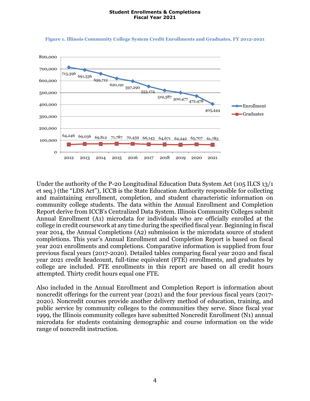

#### <span id="page-3-0"></span>**Figure 1. Illinois Community College System Credit Enrollments and Graduates, FY 2012-2021**

Under the authority of the P-20 Longitudinal Education Data System Act (105 ILCS 13/1 et seq.) (the "LDS Act"), ICCB is the State Education Authority responsible for collecting and maintaining enrollment, completion, and student characteristic information on community college students. The data within the Annual Enrollment and Completion Report derive from ICCB's Centralized Data System. Illinois Community Colleges submit Annual Enrollment (A1) microdata for individuals who are officially enrolled at the college in credit coursework at any time during the specified fiscal year. Beginning in fiscal year 2014, the Annual Completions (A2) submission is the microdata source of student completions. This year's Annual Enrollment and Completion Report is based on fiscal year 2021 enrollments and completions. Comparative information is supplied from four previous fiscal years (2017-2020). Detailed tables comparing fiscal year 2020 and fiscal year 2021 credit headcount, full-time equivalent (FTE) enrollments, and graduates by college are included. FTE enrollments in this report are based on all credit hours attempted. Thirty credit hours equal one FTE.

Also included in the Annual Enrollment and Completion Report is information about noncredit offerings for the current year (2021) and the four previous fiscal years (2017- 2020). Noncredit courses provide another delivery method of education, training, and public service by community colleges to the communities they serve. Since fiscal year 1999, the Illinois community colleges have submitted Noncredit Enrollment (N1) annual microdata for students containing demographic and course information on the wide range of noncredit instruction.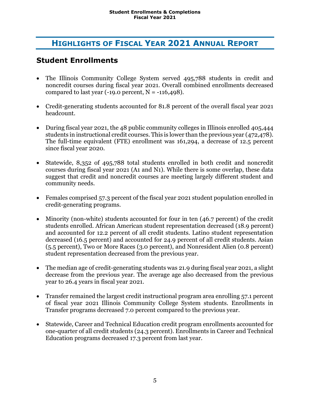## **HIGHLIGHTS OF FISCAL YEAR 2021 ANNUAL REPORT**

## **Student Enrollments**

- The Illinois Community College System served 495,788 students in credit and noncredit courses during fiscal year 2021. Overall combined enrollments decreased compared to last year  $(-19.0 \text{ percent}, N = -116,498)$ .
- Credit-generating students accounted for 81.8 percent of the overall fiscal year 2021 headcount.
- During fiscal year 2021, the 48 public community colleges in Illinois enrolled 405,444 students in instructional credit courses. This is lower than the previous year (472,478). The full-time equivalent (FTE) enrollment was 161,294, a decrease of 12.5 percent since fiscal year 2020.
- Statewide, 8,352 of 495,788 total students enrolled in both credit and noncredit courses during fiscal year 2021 (A1 and N1). While there is some overlap, these data suggest that credit and noncredit courses are meeting largely different student and community needs.
- Females comprised 57.3 percent of the fiscal year 2021 student population enrolled in credit-generating programs.
- Minority (non-white) students accounted for four in ten (46.7 percent) of the credit students enrolled. African American student representation decreased (18.9 percent) and accounted for 12.2 percent of all credit students. Latino student representation decreased (16.5 percent) and accounted for 24.9 percent of all credit students. Asian (5.5 percent), Two or More Races (3.0 percent), and Nonresident Alien (0.8 percent) student representation decreased from the previous year.
- The median age of credit-generating students was 21.9 during fiscal year 2021, a slight decrease from the previous year. The average age also decreased from the previous year to 26.4 years in fiscal year 2021.
- Transfer remained the largest credit instructional program area enrolling 57.1 percent of fiscal year 2021 Illinois Community College System students. Enrollments in Transfer programs decreased 7.0 percent compared to the previous year.
- Statewide, Career and Technical Education credit program enrollments accounted for one-quarter of all credit students (24.3 percent). Enrollments in Career and Technical Education programs decreased 17.3 percent from last year.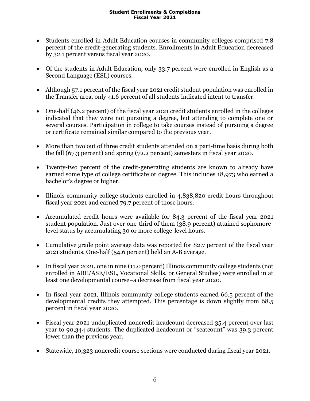- Students enrolled in Adult Education courses in community colleges comprised 7.8 percent of the credit-generating students. Enrollments in Adult Education decreased by 32.1 percent versus fiscal year 2020.
- Of the students in Adult Education, only 33.7 percent were enrolled in English as a Second Language (ESL) courses.
- Although 57.1 percent of the fiscal year 2021 credit student population was enrolled in the Transfer area, only 41.6 percent of all students indicated intent to transfer.
- One-half (46.2 percent) of the fiscal year 2021 credit students enrolled in the colleges indicated that they were not pursuing a degree, but attending to complete one or several courses. Participation in college to take courses instead of pursuing a degree or certificate remained similar compared to the previous year.
- More than two out of three credit students attended on a part-time basis during both the fall (67.3 percent) and spring (72.2 percent) semesters in fiscal year 2020.
- Twenty-two percent of the credit-generating students are known to already have earned some type of college certificate or degree. This includes 18,973 who earned a bachelor's degree or higher.
- Illinois community college students enrolled in 4,838,820 credit hours throughout fiscal year 2021 and earned 79.7 percent of those hours.
- Accumulated credit hours were available for 84.3 percent of the fiscal year 2021 student population. Just over one-third of them (38.9 percent) attained sophomorelevel status by accumulating 30 or more college-level hours.
- Cumulative grade point average data was reported for 82.7 percent of the fiscal year 2021 students. One-half (54.6 percent) held an A-B average.
- In fiscal year 2021, one in nine (11.0 percent) Illinois community college students (not enrolled in ABE/ASE/ESL, Vocational Skills, or General Studies) were enrolled in at least one developmental course–a decrease from fiscal year 2020.
- In fiscal year 2021, Illinois community college students earned 66.5 percent of the developmental credits they attempted. This percentage is down slightly from 68.5 percent in fiscal year 2020.
- Fiscal year 2021 unduplicated noncredit headcount decreased 35.4 percent over last year to 90,344 students. The duplicated headcount or "seatcount" was 39.3 percent lower than the previous year.
- Statewide, 10,323 noncredit course sections were conducted during fiscal year 2021.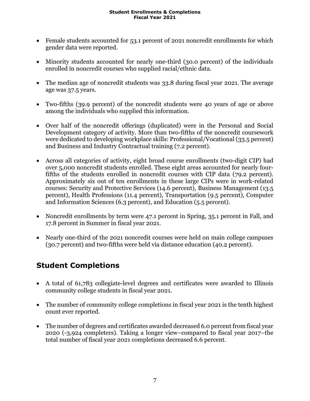- Female students accounted for 53.1 percent of 2021 noncredit enrollments for which gender data were reported.
- Minority students accounted for nearly one-third (30.0 percent) of the individuals enrolled in noncredit courses who supplied racial/ethnic data.
- The median age of noncredit students was 33.8 during fiscal year 2021. The average age was 37.5 years.
- Two-fifths (39.9 percent) of the noncredit students were 40 years of age or above among the individuals who supplied this information.
- Over half of the noncredit offerings (duplicated) were in the Personal and Social Development category of activity. More than two-fifths of the noncredit coursework were dedicated to developing workplace skills: Professional/Vocational (33.5 percent) and Business and Industry Contractual training (7.2 percent).
- Across all categories of activity, eight broad course enrollments (two-digit CIP) had over 5,000 noncredit students enrolled. These eight areas accounted for nearly fourfifths of the students enrolled in noncredit courses with CIP data (79.2 percent). Approximately six out of ten enrollments in these large CIPs were in work-related courses: Security and Protective Services (14.6 percent), Business Management (13.5 percent), Health Professions (11.4 percent), Transportation (9.5 percent), Computer and Information Sciences (6.3 percent), and Education (5.5 percent).
- Noncredit enrollments by term were 47.1 percent in Spring, 35.1 percent in Fall, and 17.8 percent in Summer in fiscal year 2021.
- Nearly one-third of the 2021 noncredit courses were held on main college campuses (30.7 percent) and two-fifths were held via distance education (40.2 percent).

## **Student Completions**

- A total of 61,783 collegiate-level degrees and certificates were awarded to Illinois community college students in fiscal year 2021.
- The number of community college completions in fiscal year 2021 is the tenth highest count ever reported.
- The number of degrees and certificates awarded decreased 6.0 percent from fiscal year 2020 (-3,924 completers). Taking a longer view–compared to fiscal year 2017–the total number of fiscal year 2021 completions decreased 6.6 percent.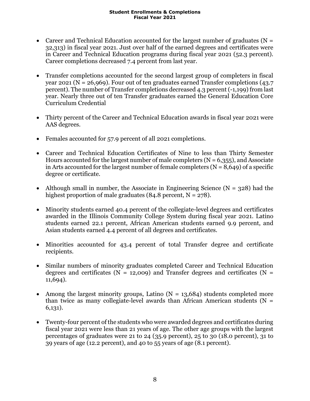- Career and Technical Education accounted for the largest number of graduates ( $N =$ 32,313) in fiscal year 2021. Just over half of the earned degrees and certificates were in Career and Technical Education programs during fiscal year 2021 (52.3 percent). Career completions decreased 7.4 percent from last year.
- Transfer completions accounted for the second largest group of completers in fiscal year 2021 (N = 26,969). Four out of ten graduates earned Transfer completions (43.7 percent). The number of Transfer completions decreased 4.3 percent (-1,199) from last year. Nearly three out of ten Transfer graduates earned the General Education Core Curriculum Credential
- Thirty percent of the Career and Technical Education awards in fiscal year 2021 were AAS degrees.
- Females accounted for 57.9 percent of all 2021 completions.
- Career and Technical Education Certificates of Nine to less than Thirty Semester Hours accounted for the largest number of male completers  $(N = 6,355)$ , and Associate in Arts accounted for the largest number of female completers  $(N = 8,649)$  of a specific degree or certificate.
- Although small in number, the Associate in Engineering Science ( $N = 328$ ) had the highest proportion of male graduates  $(84.8 \text{ percent}, N = 278)$ .
- Minority students earned 40.4 percent of the collegiate-level degrees and certificates awarded in the Illinois Community College System during fiscal year 2021. Latino students earned 22.1 percent, African American students earned 9.9 percent, and Asian students earned 4.4 percent of all degrees and certificates.
- Minorities accounted for 43.4 percent of total Transfer degree and certificate recipients.
- Similar numbers of minority graduates completed Career and Technical Education degrees and certificates ( $N = 12,009$ ) and Transfer degrees and certificates ( $N =$ 11,694).
- Among the largest minority groups, Latino  $(N = 13,684)$  students completed more than twice as many collegiate-level awards than African American students ( $N =$ 6,131).
- Twenty-four percent of the students who were awarded degrees and certificates during fiscal year 2021 were less than 21 years of age. The other age groups with the largest percentages of graduates were 21 to 24 (35.9 percent), 25 to 30 (18.0 percent), 31 to 39 years of age (12.2 percent), and 40 to 55 years of age (8.1 percent).